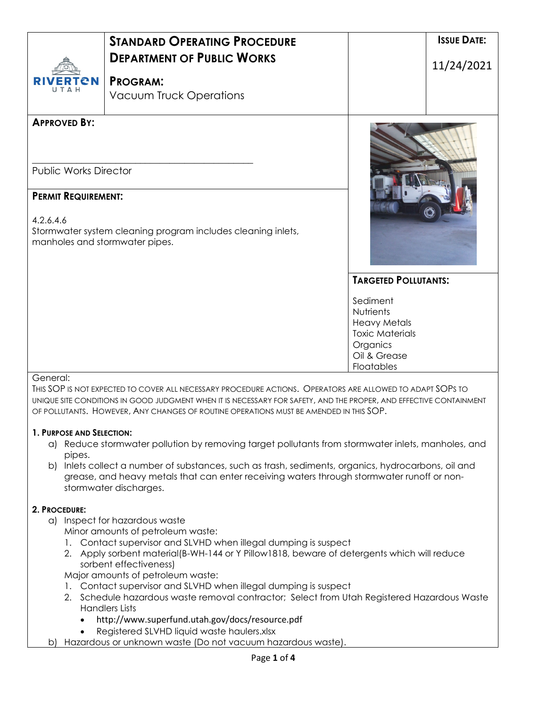| <b>RIVERTON</b><br>UTAH                                                   | <b>STANDARD OPERATING PROCEDURE</b><br><b>DEPARTMENT OF PUBLIC WORKS</b><br><b>PROGRAM:</b><br><b>Vacuum Truck Operations</b> |                                                                                                                         | <b>ISSUE DATE:</b><br>11/24/2021 |
|---------------------------------------------------------------------------|-------------------------------------------------------------------------------------------------------------------------------|-------------------------------------------------------------------------------------------------------------------------|----------------------------------|
| <b>APPROVED BY:</b>                                                       |                                                                                                                               |                                                                                                                         |                                  |
| <b>Public Works Director</b>                                              |                                                                                                                               |                                                                                                                         |                                  |
| <b>PERMIT REQUIREMENT:</b><br>4.2.6.4.6<br>manholes and stormwater pipes. | Stormwater system cleaning program includes cleaning inlets,                                                                  |                                                                                                                         |                                  |
|                                                                           |                                                                                                                               | <b>TARGETED POLLUTANTS:</b>                                                                                             |                                  |
|                                                                           |                                                                                                                               | Sediment<br><b>Nutrients</b><br><b>Heavy Metals</b><br><b>Toxic Materials</b><br>Organics<br>Oil & Grease<br>Floatables |                                  |

## General:

THIS SOP IS NOT EXPECTED TO COVER ALL NECESSARY PROCEDURE ACTIONS. OPERATORS ARE ALLOWED TO ADAPT SOPS TO UNIQUE SITE CONDITIONS IN GOOD JUDGMENT WHEN IT IS NECESSARY FOR SAFETY, AND THE PROPER, AND EFFECTIVE CONTAINMENT OF POLLUTANTS. HOWEVER, ANY CHANGES OF ROUTINE OPERATIONS MUST BE AMENDED IN THIS SOP.

## **1. PURPOSE AND SELECTION:**

- a) Reduce stormwater pollution by removing target pollutants from stormwater inlets, manholes, and pipes.
- b) Inlets collect a number of substances, such as trash, sediments, organics, hydrocarbons, oil and grease, and heavy metals that can enter receiving waters through stormwater runoff or nonstormwater discharges.

## **2. PROCEDURE:**

- a) Inspect for hazardous waste
	- Minor amounts of petroleum waste:
	- 1. Contact supervisor and SLVHD when illegal dumping is suspect
	- 2. Apply sorbent material(B-WH-144 or Y Pillow1818, beware of detergents which will reduce sorbent effectiveness)
	- Major amounts of petroleum waste:
	- 1. Contact supervisor and SLVHD when illegal dumping is suspect
	- 2. Schedule hazardous waste removal contractor; Select from Utah Registered Hazardous Waste Handlers Lists
		- http://www.superfund.utah.gov/docs/resource.pdf
		- Registered SLVHD liquid waste haulers.xlsx
- b) Hazardous or unknown waste (Do not vacuum hazardous waste).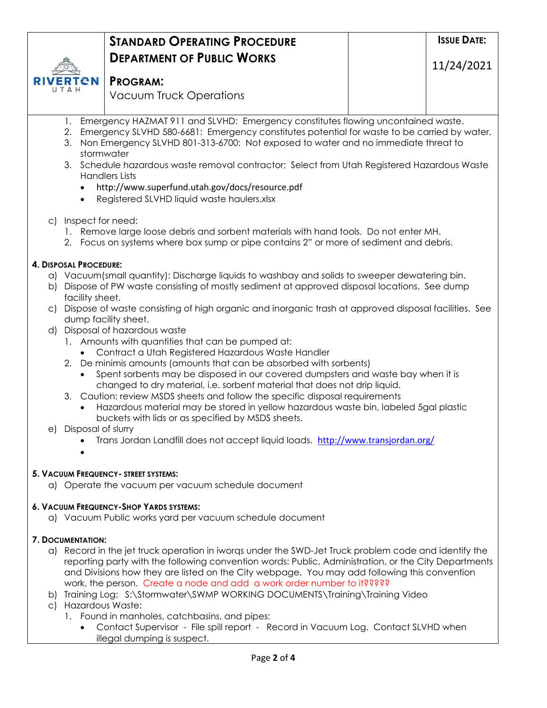|                                                                                                                                                                                | <b>STANDARD OPERATING PROCEDURE</b>                                                                                                                                                                                                                                                                                                                                                                                                                                                                         | <b>ISSUE DATE:</b> |  |  |  |
|--------------------------------------------------------------------------------------------------------------------------------------------------------------------------------|-------------------------------------------------------------------------------------------------------------------------------------------------------------------------------------------------------------------------------------------------------------------------------------------------------------------------------------------------------------------------------------------------------------------------------------------------------------------------------------------------------------|--------------------|--|--|--|
|                                                                                                                                                                                | <b>DEPARTMENT OF PUBLIC WORKS</b>                                                                                                                                                                                                                                                                                                                                                                                                                                                                           | 11/24/2021         |  |  |  |
| СN                                                                                                                                                                             | <b>PROGRAM:</b>                                                                                                                                                                                                                                                                                                                                                                                                                                                                                             |                    |  |  |  |
|                                                                                                                                                                                | <b>Vacuum Truck Operations</b>                                                                                                                                                                                                                                                                                                                                                                                                                                                                              |                    |  |  |  |
|                                                                                                                                                                                |                                                                                                                                                                                                                                                                                                                                                                                                                                                                                                             |                    |  |  |  |
| 1.<br>2.<br>3.<br>$\bullet$                                                                                                                                                    | Emergency HAZMAT 911 and SLVHD: Emergency constitutes flowing uncontained waste.<br>Emergency SLVHD 580-6681: Emergency constitutes potential for waste to be carried by water.<br>Non Emergency SLVHD 801-313-6700: Not exposed to water and no immediate threat to<br>stormwater<br>3. Schedule hazardous waste removal contractor; Select from Utah Registered Hazardous Waste<br><b>Handlers Lists</b><br>http://www.superfund.utah.gov/docs/resource.pdf<br>Registered SLVHD liquid waste haulers.xlsx |                    |  |  |  |
| c) Inspect for need:                                                                                                                                                           |                                                                                                                                                                                                                                                                                                                                                                                                                                                                                                             |                    |  |  |  |
| 1. Remove large loose debris and sorbent materials with hand tools. Do not enter MH.<br>2. Focus on systems where box sump or pipe contains 2" or more of sediment and debris. |                                                                                                                                                                                                                                                                                                                                                                                                                                                                                                             |                    |  |  |  |
| 4. DISPOSAL PROCEDURE:                                                                                                                                                         |                                                                                                                                                                                                                                                                                                                                                                                                                                                                                                             |                    |  |  |  |
|                                                                                                                                                                                | a) Vacuum(small quantity): Discharge liquids to washbay and solids to sweeper dewatering bin.                                                                                                                                                                                                                                                                                                                                                                                                               |                    |  |  |  |
| b)<br>facility sheet.                                                                                                                                                          | Dispose of PW waste consisting of mostly sediment at approved disposal locations. See dump                                                                                                                                                                                                                                                                                                                                                                                                                  |                    |  |  |  |
|                                                                                                                                                                                | c) Dispose of waste consisting of high organic and inorganic trash at approved disposal facilities. See                                                                                                                                                                                                                                                                                                                                                                                                     |                    |  |  |  |
|                                                                                                                                                                                | dump facility sheet.<br>d) Disposal of hazardous waste                                                                                                                                                                                                                                                                                                                                                                                                                                                      |                    |  |  |  |
|                                                                                                                                                                                | 1. Amounts with quantities that can be pumped at:                                                                                                                                                                                                                                                                                                                                                                                                                                                           |                    |  |  |  |
|                                                                                                                                                                                | Contract a Utah Registered Hazardous Waste Handler<br>2. De minimis amounts (amounts that can be absorbed with sorbents)                                                                                                                                                                                                                                                                                                                                                                                    |                    |  |  |  |
|                                                                                                                                                                                | Spent sorbents may be disposed in our covered dumpsters and waste bay when it is                                                                                                                                                                                                                                                                                                                                                                                                                            |                    |  |  |  |
|                                                                                                                                                                                | changed to dry material, i.e. sorbent material that does not drip liquid.<br>3. Caution: review MSDS sheets and follow the specific disposal requirements                                                                                                                                                                                                                                                                                                                                                   |                    |  |  |  |
|                                                                                                                                                                                | Hazardous material may be stored in yellow hazardous waste bin, labeled 5gal plastic                                                                                                                                                                                                                                                                                                                                                                                                                        |                    |  |  |  |
|                                                                                                                                                                                | buckets with lids or as specified by MSDS sheets.                                                                                                                                                                                                                                                                                                                                                                                                                                                           |                    |  |  |  |
|                                                                                                                                                                                | e) Disposal of slurry<br>Trans Jordan Landfill does not accept liquid loads. http://www.transjordan.org/                                                                                                                                                                                                                                                                                                                                                                                                    |                    |  |  |  |
|                                                                                                                                                                                |                                                                                                                                                                                                                                                                                                                                                                                                                                                                                                             |                    |  |  |  |
|                                                                                                                                                                                | 5. VACUUM FREQUENCY- STREET SYSTEMS:                                                                                                                                                                                                                                                                                                                                                                                                                                                                        |                    |  |  |  |
|                                                                                                                                                                                | a) Operate the vacuum per vacuum schedule document                                                                                                                                                                                                                                                                                                                                                                                                                                                          |                    |  |  |  |
|                                                                                                                                                                                | 6. VACUUM FREQUENCY-SHOP YARDS SYSTEMS:                                                                                                                                                                                                                                                                                                                                                                                                                                                                     |                    |  |  |  |
|                                                                                                                                                                                | a) Vacuum Public works yard per vacuum schedule document                                                                                                                                                                                                                                                                                                                                                                                                                                                    |                    |  |  |  |
| <b>7. DOCUMENTATION:</b>                                                                                                                                                       |                                                                                                                                                                                                                                                                                                                                                                                                                                                                                                             |                    |  |  |  |
|                                                                                                                                                                                | a) Record in the jet truck operation in iworgs under the SWD-Jet Truck problem code and identify the                                                                                                                                                                                                                                                                                                                                                                                                        |                    |  |  |  |
| reporting party with the following convention words: Public, Administration, or the City Departments                                                                           |                                                                                                                                                                                                                                                                                                                                                                                                                                                                                                             |                    |  |  |  |
| and Divisions how they are listed on the City webpage. You may add following this convention<br>work, the person. Create a node and add a work order number to it?????         |                                                                                                                                                                                                                                                                                                                                                                                                                                                                                                             |                    |  |  |  |
|                                                                                                                                                                                | b) Training Log: S:\Stormwater\SWMP WORKING DOCUMENTS\Training\Training Video                                                                                                                                                                                                                                                                                                                                                                                                                               |                    |  |  |  |
| c) Hazardous Waste:                                                                                                                                                            |                                                                                                                                                                                                                                                                                                                                                                                                                                                                                                             |                    |  |  |  |

- 1. Found in manholes, catchbasins, and pipes:
	- Contact Supervisor File spill report Record in Vacuum Log. Contact SLVHD when illegal dumping is suspect.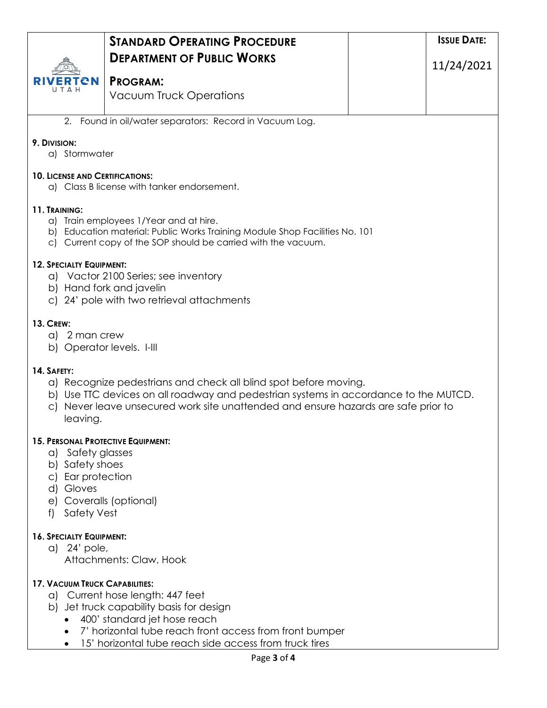|                                                                                                                                                                                        | <b>STANDARD OPERATING PROCEDURE</b>                                                                                                                                     |  | <b>ISSUE DATE:</b> |  |  |  |
|----------------------------------------------------------------------------------------------------------------------------------------------------------------------------------------|-------------------------------------------------------------------------------------------------------------------------------------------------------------------------|--|--------------------|--|--|--|
|                                                                                                                                                                                        | <b>DEPARTMENT OF PUBLIC WORKS</b>                                                                                                                                       |  |                    |  |  |  |
|                                                                                                                                                                                        | <b>PROGRAM:</b>                                                                                                                                                         |  | 11/24/2021         |  |  |  |
|                                                                                                                                                                                        | <b>Vacuum Truck Operations</b>                                                                                                                                          |  |                    |  |  |  |
|                                                                                                                                                                                        |                                                                                                                                                                         |  |                    |  |  |  |
|                                                                                                                                                                                        | 2. Found in oil/water separators: Record in Vacuum Log.                                                                                                                 |  |                    |  |  |  |
| 9. DIVISION:                                                                                                                                                                           | a) Stormwater                                                                                                                                                           |  |                    |  |  |  |
| <b>10. LICENSE AND CERTIFICATIONS:</b><br>a) Class B license with tanker endorsement.                                                                                                  |                                                                                                                                                                         |  |                    |  |  |  |
| 11. TRAINING:                                                                                                                                                                          |                                                                                                                                                                         |  |                    |  |  |  |
| a) Train employees 1/Year and at hire.<br>b) Education material: Public Works Training Module Shop Facilities No. 101<br>c) Current copy of the SOP should be carried with the vacuum. |                                                                                                                                                                         |  |                    |  |  |  |
| 12. SPECIALTY EQUIPMENT:                                                                                                                                                               |                                                                                                                                                                         |  |                    |  |  |  |
|                                                                                                                                                                                        | a) Vactor 2100 Series; see inventory                                                                                                                                    |  |                    |  |  |  |
|                                                                                                                                                                                        | b) Hand fork and javelin<br>c) 24' pole with two retrieval attachments                                                                                                  |  |                    |  |  |  |
|                                                                                                                                                                                        |                                                                                                                                                                         |  |                    |  |  |  |
| <b>13. CREW:</b><br>a) 2 man crew                                                                                                                                                      |                                                                                                                                                                         |  |                    |  |  |  |
| b) Operator levels. I-III                                                                                                                                                              |                                                                                                                                                                         |  |                    |  |  |  |
| 14. SAFETY:                                                                                                                                                                            |                                                                                                                                                                         |  |                    |  |  |  |
|                                                                                                                                                                                        | a) Recognize pedestrians and check all blind spot before moving.                                                                                                        |  |                    |  |  |  |
| C)                                                                                                                                                                                     | b) Use TTC devices on all roadway and pedestrian systems in accordance to the MUTCD.<br>Never leave unsecured work site unattended and ensure hazards are safe prior to |  |                    |  |  |  |
| leaving.                                                                                                                                                                               |                                                                                                                                                                         |  |                    |  |  |  |
| <b>15. PERSONAL PROTECTIVE EQUIPMENT:</b>                                                                                                                                              |                                                                                                                                                                         |  |                    |  |  |  |
| a) Safety glasses                                                                                                                                                                      |                                                                                                                                                                         |  |                    |  |  |  |
| b) Safety shoes<br>Ear protection<br>C)                                                                                                                                                |                                                                                                                                                                         |  |                    |  |  |  |
| d) Gloves                                                                                                                                                                              |                                                                                                                                                                         |  |                    |  |  |  |
| <b>Safety Vest</b><br>f                                                                                                                                                                | e) Coveralls (optional)                                                                                                                                                 |  |                    |  |  |  |
|                                                                                                                                                                                        |                                                                                                                                                                         |  |                    |  |  |  |
| 16. SPECIALTY EQUIPMENT:<br>a) 24' pole,                                                                                                                                               |                                                                                                                                                                         |  |                    |  |  |  |
|                                                                                                                                                                                        | Attachments: Claw, Hook                                                                                                                                                 |  |                    |  |  |  |
| <b>17. VACUUM TRUCK CAPABILITIES:</b>                                                                                                                                                  |                                                                                                                                                                         |  |                    |  |  |  |
| a) Current hose length: 447 feet                                                                                                                                                       |                                                                                                                                                                         |  |                    |  |  |  |
| b) Jet truck capability basis for design                                                                                                                                               |                                                                                                                                                                         |  |                    |  |  |  |
| 400' standard jet hose reach<br>7' horizontal tube reach front access from front bumper                                                                                                |                                                                                                                                                                         |  |                    |  |  |  |
| 15' horizontal tube reach side access from truck tires                                                                                                                                 |                                                                                                                                                                         |  |                    |  |  |  |
| Page 3 of 4                                                                                                                                                                            |                                                                                                                                                                         |  |                    |  |  |  |